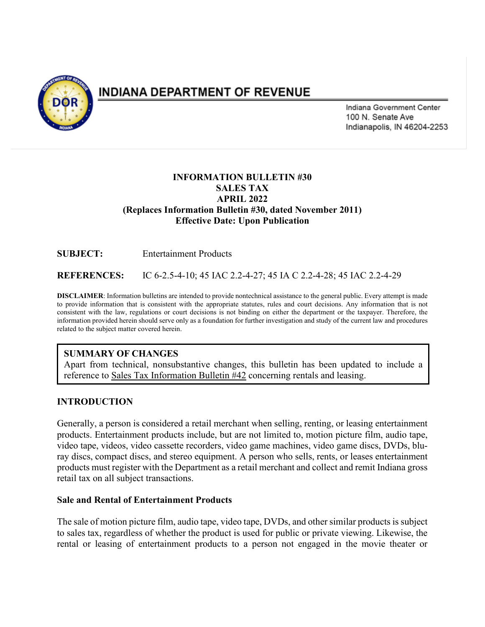

# **INDIANA DEPARTMENT OF REVENUE**

Indiana Government Center 100 N. Senate Ave Indianapolis, IN 46204-2253

## **INFORMATION BULLETIN #30 SALES TAX APRIL 2022 (Replaces Information Bulletin #30, dated November 2011) Effective Date: Upon Publication**

**SUBJECT:** Entertainment Products

**REFERENCES:** IC 6-2.5-4-10; 45 IAC 2.2-4-27; 45 IA C 2.2-4-28; 45 IAC 2.2-4-29

**DISCLAIMER**: Information bulletins are intended to provide nontechnical assistance to the general public. Every attempt is made to provide information that is consistent with the appropriate statutes, rules and court decisions. Any information that is not consistent with the law, regulations or court decisions is not binding on either the department or the taxpayer. Therefore, the information provided herein should serve only as a foundation for further investigation and study of the current law and procedures related to the subject matter covered herein.

### **SUMMARY OF CHANGES**

Apart from technical, nonsubstantive changes, this bulletin has been updated to include a reference to Sales Tax Information Bulletin #42 concerning rentals and leasing.

#### **INTRODUCTION**

Generally, a person is considered a retail merchant when selling, renting, or leasing entertainment products. Entertainment products include, but are not limited to, motion picture film, audio tape, video tape, videos, video cassette recorders, video game machines, video game discs, DVDs, bluray discs, compact discs, and stereo equipment. A person who sells, rents, or leases entertainment products must register with the Department as a retail merchant and collect and remit Indiana gross retail tax on all subject transactions.

#### **Sale and Rental of Entertainment Products**

The sale of motion picture film, audio tape, video tape, DVDs, and other similar products is subject to sales tax, regardless of whether the product is used for public or private viewing. Likewise, the rental or leasing of entertainment products to a person not engaged in the movie theater or